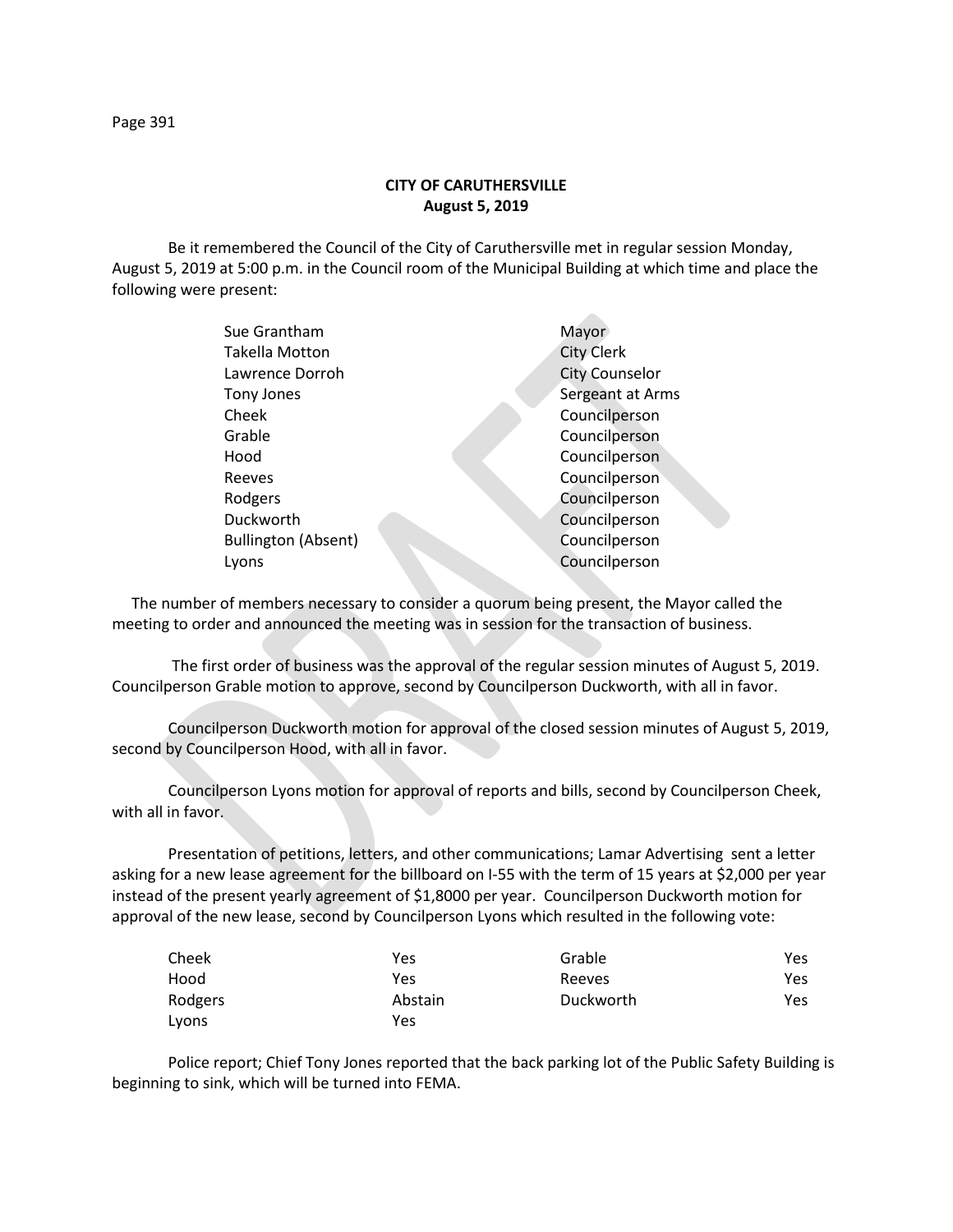## **CITY OF CARUTHERSVILLE August 5, 2019**

Be it remembered the Council of the City of Caruthersville met in regular session Monday, August 5, 2019 at 5:00 p.m. in the Council room of the Municipal Building at which time and place the following were present:

| Sue Grantham               | Mayor                 |
|----------------------------|-----------------------|
| Takella Motton             | <b>City Clerk</b>     |
| Lawrence Dorroh            | <b>City Counselor</b> |
| Tony Jones                 | Sergeant at Arms      |
| Cheek                      | Councilperson         |
| Grable                     | Councilperson         |
| Hood                       | Councilperson         |
| Reeves                     | Councilperson         |
| Rodgers                    | Councilperson         |
| Duckworth                  | Councilperson         |
| <b>Bullington (Absent)</b> | Councilperson         |
| Lyons                      | Councilperson         |
|                            |                       |

 The number of members necessary to consider a quorum being present, the Mayor called the meeting to order and announced the meeting was in session for the transaction of business.

The first order of business was the approval of the regular session minutes of August 5, 2019. Councilperson Grable motion to approve, second by Councilperson Duckworth, with all in favor.

Councilperson Duckworth motion for approval of the closed session minutes of August 5, 2019, second by Councilperson Hood, with all in favor.

Councilperson Lyons motion for approval of reports and bills, second by Councilperson Cheek, with all in favor.

Presentation of petitions, letters, and other communications; Lamar Advertising sent a letter asking for a new lease agreement for the billboard on I-55 with the term of 15 years at \$2,000 per year instead of the present yearly agreement of \$1,8000 per year. Councilperson Duckworth motion for approval of the new lease, second by Councilperson Lyons which resulted in the following vote:

| Cheek   | Yes     | Grable    | Yes |
|---------|---------|-----------|-----|
| Hood    | Yes     | Reeves    | Yes |
| Rodgers | Abstain | Duckworth | Yes |
| Lyons   | Yes     |           |     |

Police report; Chief Tony Jones reported that the back parking lot of the Public Safety Building is beginning to sink, which will be turned into FEMA.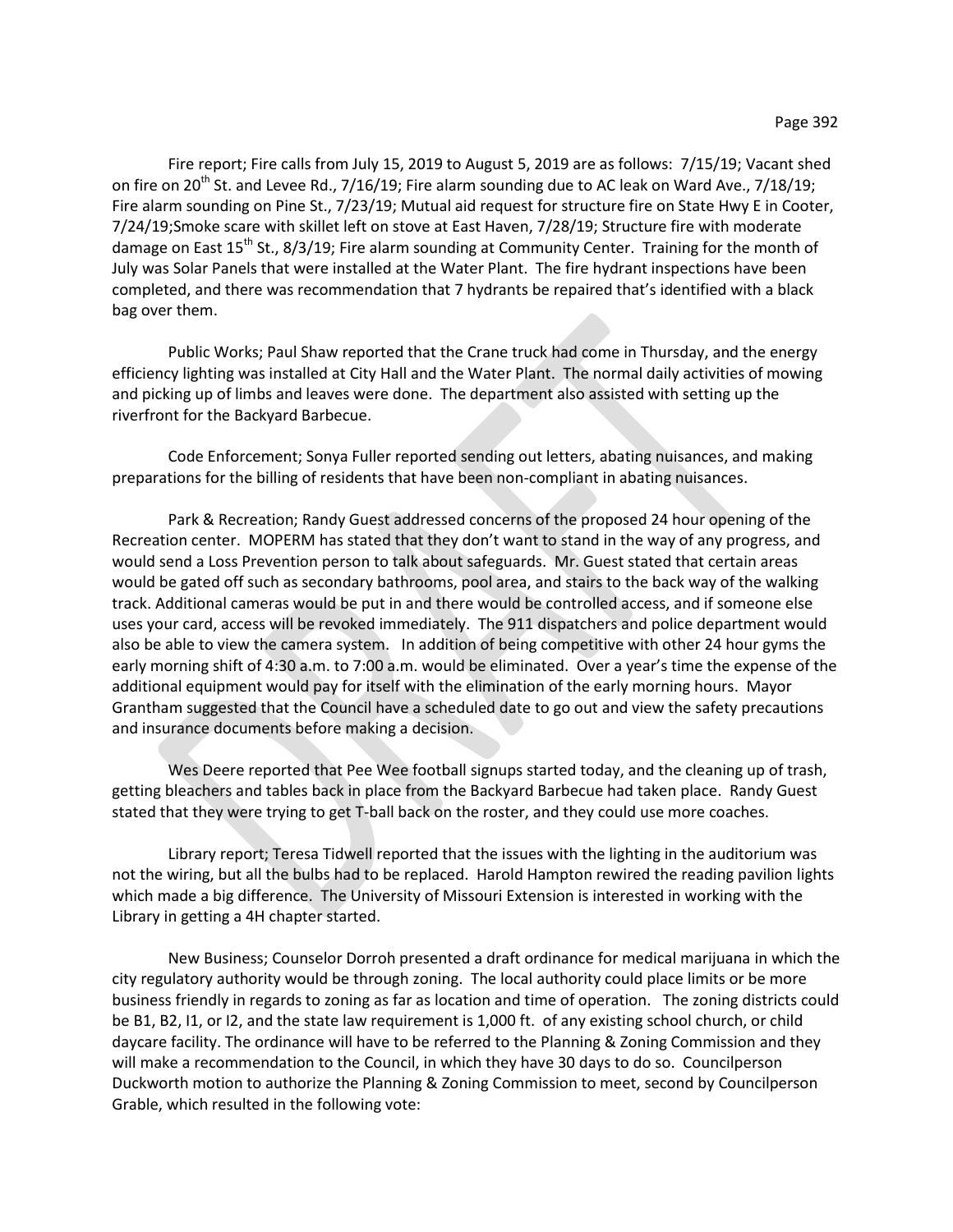Fire report; Fire calls from July 15, 2019 to August 5, 2019 are as follows: 7/15/19; Vacant shed on fire on 20<sup>th</sup> St. and Levee Rd., 7/16/19; Fire alarm sounding due to AC leak on Ward Ave., 7/18/19; Fire alarm sounding on Pine St., 7/23/19; Mutual aid request for structure fire on State Hwy E in Cooter, 7/24/19;Smoke scare with skillet left on stove at East Haven, 7/28/19; Structure fire with moderate damage on East  $15<sup>th</sup>$  St., 8/3/19; Fire alarm sounding at Community Center. Training for the month of July was Solar Panels that were installed at the Water Plant. The fire hydrant inspections have been completed, and there was recommendation that 7 hydrants be repaired that's identified with a black bag over them.

Public Works; Paul Shaw reported that the Crane truck had come in Thursday, and the energy efficiency lighting was installed at City Hall and the Water Plant. The normal daily activities of mowing and picking up of limbs and leaves were done. The department also assisted with setting up the riverfront for the Backyard Barbecue.

Code Enforcement; Sonya Fuller reported sending out letters, abating nuisances, and making preparations for the billing of residents that have been non-compliant in abating nuisances.

Park & Recreation; Randy Guest addressed concerns of the proposed 24 hour opening of the Recreation center. MOPERM has stated that they don't want to stand in the way of any progress, and would send a Loss Prevention person to talk about safeguards. Mr. Guest stated that certain areas would be gated off such as secondary bathrooms, pool area, and stairs to the back way of the walking track. Additional cameras would be put in and there would be controlled access, and if someone else uses your card, access will be revoked immediately. The 911 dispatchers and police department would also be able to view the camera system. In addition of being competitive with other 24 hour gyms the early morning shift of 4:30 a.m. to 7:00 a.m. would be eliminated. Over a year's time the expense of the additional equipment would pay for itself with the elimination of the early morning hours. Mayor Grantham suggested that the Council have a scheduled date to go out and view the safety precautions and insurance documents before making a decision.

Wes Deere reported that Pee Wee football signups started today, and the cleaning up of trash, getting bleachers and tables back in place from the Backyard Barbecue had taken place. Randy Guest stated that they were trying to get T-ball back on the roster, and they could use more coaches.

Library report; Teresa Tidwell reported that the issues with the lighting in the auditorium was not the wiring, but all the bulbs had to be replaced. Harold Hampton rewired the reading pavilion lights which made a big difference. The University of Missouri Extension is interested in working with the Library in getting a 4H chapter started.

New Business; Counselor Dorroh presented a draft ordinance for medical marijuana in which the city regulatory authority would be through zoning. The local authority could place limits or be more business friendly in regards to zoning as far as location and time of operation. The zoning districts could be B1, B2, I1, or I2, and the state law requirement is 1,000 ft. of any existing school church, or child daycare facility. The ordinance will have to be referred to the Planning & Zoning Commission and they will make a recommendation to the Council, in which they have 30 days to do so. Councilperson Duckworth motion to authorize the Planning & Zoning Commission to meet, second by Councilperson Grable, which resulted in the following vote: